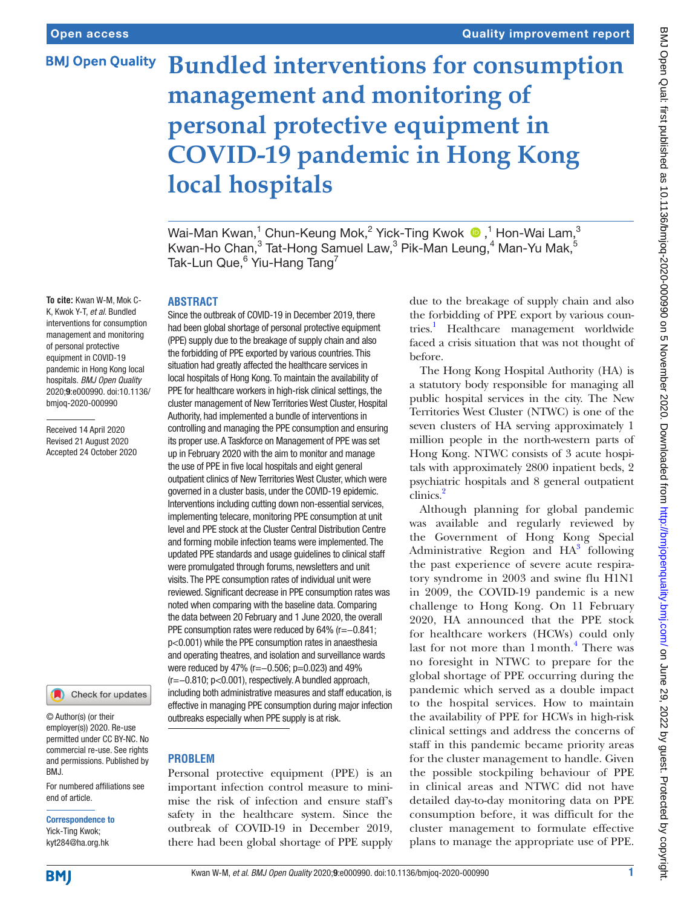## **BMJ Open Quality**

# **Bundled interventions for consumption management and monitoring of personal protective equipment in COVID-19 pandemic in Hong Kong local hospitals**

Wai-ManKwan, $^1$  Chun-Keung Mok, $^2$  Yick-Ting Kwok  $\,^1$  Hon-Wai Lam, $^3$ Kwan-Ho Chan, $^3$  Tat-Hong Samuel Law, $^3$  Pik-Man Leung, $^4$  Man-Yu Mak, $^5$ Tak-Lun Que, $^6$  Yiu-Hang Tang<sup>7</sup>

**To cite:** Kwan W-M, Mok C-K, Kwok Y-T, *et al*. Bundled interventions for consumption management and monitoring

of personal protective equipment in COVID-19 pandemic in Hong Kong local hospitals. *BMJ Open Quality* 2020;9:e000990. doi:10.1136/ bmjoq-2020-000990

Received 14 April 2020 Revised 21 August 2020 Accepted 24 October 2020



© Author(s) (or their employer(s)) 2020. Re-use permitted under CC BY-NC. No commercial re-use. See rights and permissions. Published by BMJ.

For numbered affiliations see end of article.

Correspondence to Yick-Ting Kwok; kyt284@ha.org.hk

## **ABSTRACT**

Since the outbreak of COVID-19 in December 2019, there had been global shortage of personal protective equipment (PPE) supply due to the breakage of supply chain and also the forbidding of PPE exported by various countries. This situation had greatly affected the healthcare services in local hospitals of Hong Kong. To maintain the availability of PPE for healthcare workers in high-risk clinical settings, the cluster management of New Territories West Cluster, Hospital Authority, had implemented a bundle of interventions in controlling and managing the PPE consumption and ensuring its proper use. A Taskforce on Management of PPE was set up in February 2020 with the aim to monitor and manage the use of PPE in five local hospitals and eight general outpatient clinics of New Territories West Cluster, which were governed in a cluster basis, under the COVID-19 epidemic. Interventions including cutting down non-essential services, implementing telecare, monitoring PPE consumption at unit level and PPE stock at the Cluster Central Distribution Centre and forming mobile infection teams were implemented. The updated PPE standards and usage guidelines to clinical staff were promulgated through forums, newsletters and unit visits. The PPE consumption rates of individual unit were reviewed. Significant decrease in PPE consumption rates was noted when comparing with the baseline data. Comparing the data between 20 February and 1 June 2020, the overall PPE consumption rates were reduced by 64% (r=−0.841; p<0.001) while the PPE consumption rates in anaesthesia and operating theatres, and isolation and surveillance wards were reduced by 47% (r=-0.506; p=0.023) and 49% (r=−0.810; p<0.001), respectively. A bundled approach, including both administrative measures and staff education, is effective in managing PPE consumption during major infection outbreaks especially when PPE supply is at risk.

## **PROBLEM**

Personal protective equipment (PPE) is an important infection control measure to minimise the risk of infection and ensure staff's safety in the healthcare system. Since the outbreak of COVID-19 in December 2019, there had been global shortage of PPE supply

due to the breakage of supply chain and also the forbidding of PPE export by various countries.<sup>1</sup> Healthcare management worldwide faced a crisis situation that was not thought of before.

The Hong Kong Hospital Authority (HA) is a statutory body responsible for managing all public hospital services in the city. The New Territories West Cluster (NTWC) is one of the seven clusters of HA serving approximately 1 million people in the north-western parts of Hong Kong. NTWC consists of 3 acute hospitals with approximately 2800 inpatient beds, 2 psychiatric hospitals and 8 general outpatient clinics.<sup>[2](#page-5-1)</sup>

Although planning for global pandemic was available and regularly reviewed by the Government of Hong Kong Special Administrative Region and  $HA^3$  following the past experience of severe acute respiratory syndrome in 2003 and swine flu H1N1 in 2009, the COVID-19 pandemic is a new challenge to Hong Kong. On 11 February 2020, HA announced that the PPE stock for healthcare workers (HCWs) could only last for not more than 1 month.<sup>[4](#page-5-3)</sup> There was no foresight in NTWC to prepare for the global shortage of PPE occurring during the pandemic which served as a double impact to the hospital services. How to maintain the availability of PPE for HCWs in high-risk clinical settings and address the concerns of staff in this pandemic became priority areas for the cluster management to handle. Given the possible stockpiling behaviour of PPE in clinical areas and NTWC did not have detailed day-to-day monitoring data on PPE consumption before, it was difficult for the cluster management to formulate effective plans to manage the appropriate use of PPE.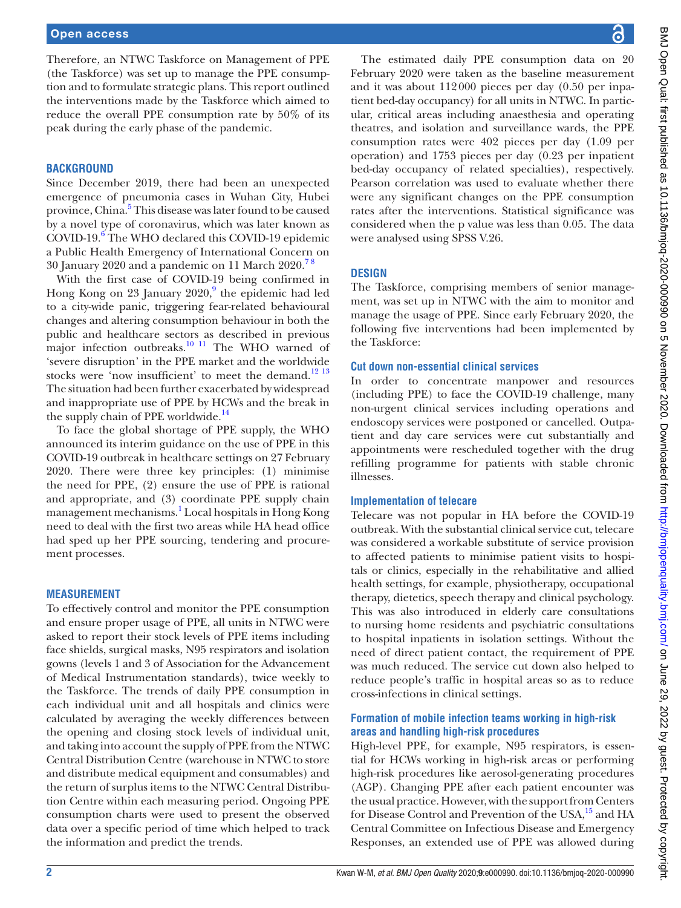Therefore, an NTWC Taskforce on Management of PPE (the Taskforce) was set up to manage the PPE consumption and to formulate strategic plans. This report outlined the interventions made by the Taskforce which aimed to reduce the overall PPE consumption rate by 50% of its peak during the early phase of the pandemic.

#### **BACKGROUND**

Since December 2019, there had been an unexpected emergence of pneumonia cases in Wuhan City, Hubei province, China.<sup>[5](#page-5-4)</sup> This disease was later found to be caused by a novel type of coronavirus, which was later known as COVID-19.<sup>6</sup> The WHO declared this COVID-19 epidemic a Public Health Emergency of International Concern on 30 January 2020 and a pandemic on 11 March  $2020.^{78}$ 

With the first case of COVID-19 being confirmed in Hong Kong on 23 January 2020,<sup>[9](#page-5-7)</sup> the epidemic had led to a city-wide panic, triggering fear-related behavioural changes and altering consumption behaviour in both the public and healthcare sectors as described in previous major infection outbreaks. $\frac{10 \text{ }\Omega}{11}$  The WHO warned of 'severe disruption' in the PPE market and the worldwide stocks were 'now insufficient' to meet the demand.<sup>[12 13](#page-5-9)</sup> The situation had been further exacerbated by widespread and inappropriate use of PPE by HCWs and the break in the supply chain of PPE worldwide.<sup>[14](#page-5-10)</sup>

To face the global shortage of PPE supply, the WHO announced its interim guidance on the use of PPE in this COVID-19 outbreak in healthcare settings on 27 February 2020. There were three key principles: (1) minimise the need for PPE, (2) ensure the use of PPE is rational and appropriate, and (3) coordinate PPE supply chain management mechanisms.<sup>[1](#page-5-0)</sup> Local hospitals in Hong Kong need to deal with the first two areas while HA head office had sped up her PPE sourcing, tendering and procurement processes.

#### **MEASUREMENT**

To effectively control and monitor the PPE consumption and ensure proper usage of PPE, all units in NTWC were asked to report their stock levels of PPE items including face shields, surgical masks, N95 respirators and isolation gowns (levels 1 and 3 of Association for the Advancement of Medical Instrumentation standards), twice weekly to the Taskforce. The trends of daily PPE consumption in each individual unit and all hospitals and clinics were calculated by averaging the weekly differences between the opening and closing stock levels of individual unit, and taking into account the supply of PPE from the NTWC Central Distribution Centre (warehouse in NTWC to store and distribute medical equipment and consumables) and the return of surplus items to the NTWC Central Distribution Centre within each measuring period. Ongoing PPE consumption charts were used to present the observed data over a specific period of time which helped to track the information and predict the trends.

BMJ Open Qual: first published as 10.1136/bmjoq-2020-000990 on 5 November 2020. Downloaded from http://bmjopenquality.bmj.com/ on June 29, 2022 by guest. Protected by copyright. BMJ Open Qual: first published as 10.1136/bmjoq-2020-000990 on 5 November 2020. Downloaded from dumidished as 10.1136/bmjoq-29. 2022 by guest. Protected by copyright.

The estimated daily PPE consumption data on 20 February 2020 were taken as the baseline measurement and it was about 112000 pieces per day (0.50 per inpatient bed-day occupancy) for all units in NTWC. In particular, critical areas including anaesthesia and operating theatres, and isolation and surveillance wards, the PPE consumption rates were 402 pieces per day (1.09 per operation) and 1753 pieces per day (0.23 per inpatient bed-day occupancy of related specialties), respectively. Pearson correlation was used to evaluate whether there were any significant changes on the PPE consumption rates after the interventions. Statistical significance was considered when the p value was less than 0.05. The data were analysed using SPSS V.26.

#### **DESIGN**

The Taskforce, comprising members of senior management, was set up in NTWC with the aim to monitor and manage the usage of PPE. Since early February 2020, the following five interventions had been implemented by the Taskforce:

#### **Cut down non-essential clinical services**

In order to concentrate manpower and resources (including PPE) to face the COVID-19 challenge, many non-urgent clinical services including operations and endoscopy services were postponed or cancelled. Outpatient and day care services were cut substantially and appointments were rescheduled together with the drug refilling programme for patients with stable chronic illnesses.

#### **Implementation of telecare**

Telecare was not popular in HA before the COVID-19 outbreak. With the substantial clinical service cut, telecare was considered a workable substitute of service provision to affected patients to minimise patient visits to hospitals or clinics, especially in the rehabilitative and allied health settings, for example, physiotherapy, occupational therapy, dietetics, speech therapy and clinical psychology. This was also introduced in elderly care consultations to nursing home residents and psychiatric consultations to hospital inpatients in isolation settings. Without the need of direct patient contact, the requirement of PPE was much reduced. The service cut down also helped to reduce people's traffic in hospital areas so as to reduce cross-infections in clinical settings.

#### **Formation of mobile infection teams working in high-risk areas and handling high-risk procedures**

High-level PPE, for example, N95 respirators, is essential for HCWs working in high-risk areas or performing high-risk procedures like aerosol-generating procedures (AGP). Changing PPE after each patient encounter was the usual practice. However, with the support from Centers for Disease Control and Prevention of the USA,<sup>15</sup> and HA Central Committee on Infectious Disease and Emergency Responses, an extended use of PPE was allowed during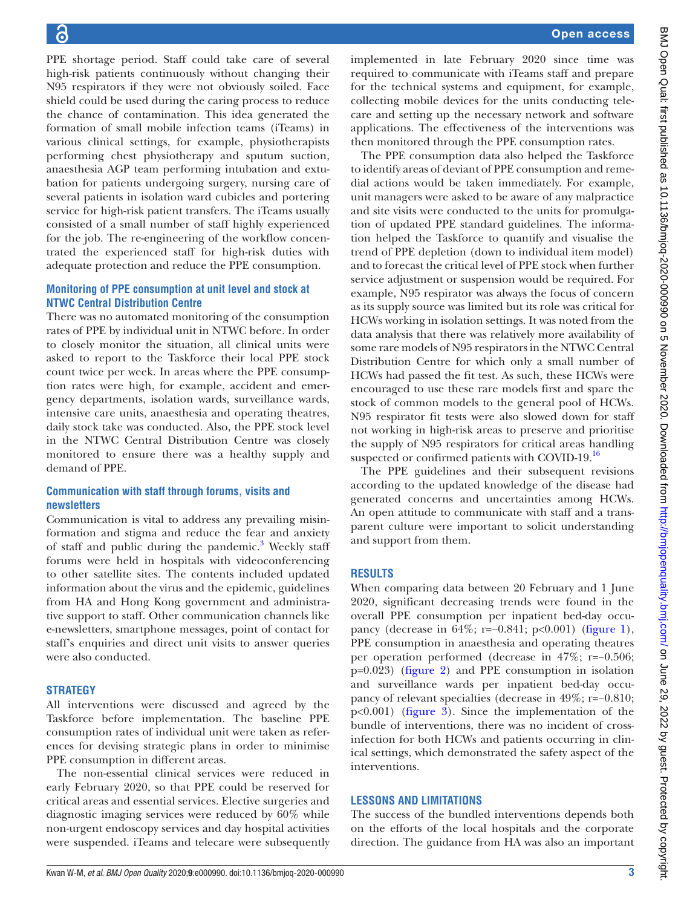PPE shortage period. Staff could take care of several high-risk patients continuously without changing their N95 respirators if they were not obviously soiled. Face shield could be used during the caring process to reduce the chance of contamination. This idea generated the formation of small mobile infection teams (iTeams) in various clinical settings, for example, physiotherapists performing chest physiotherapy and sputum suction, anaesthesia AGP team performing intubation and extubation for patients undergoing surgery, nursing care of several patients in isolation ward cubicles and portering service for high-risk patient transfers. The iTeams usually consisted of a small number of staff highly experienced for the job. The re-engineering of the workflow concentrated the experienced staff for high-risk duties with adequate protection and reduce the PPE consumption.

#### **Monitoring of PPE consumption at unit level and stock at NTWC Central Distribution Centre**

There was no automated monitoring of the consumption rates of PPE by individual unit in NTWC before. In order to closely monitor the situation, all clinical units were asked to report to the Taskforce their local PPE stock count twice per week. In areas where the PPE consumption rates were high, for example, accident and emergency departments, isolation wards, surveillance wards, intensive care units, anaesthesia and operating theatres, daily stock take was conducted. Also, the PPE stock level in the NTWC Central Distribution Centre was closely monitored to ensure there was a healthy supply and demand of PPE.

### **Communication with staff through forums, visits and newsletters**

Communication is vital to address any prevailing misinformation and stigma and reduce the fear and anxiety of staff and public during the pandemic.<sup>[3](#page-5-2)</sup> Weekly staff forums were held in hospitals with videoconferencing to other satellite sites. The contents included updated information about the virus and the epidemic, guidelines from HA and Hong Kong government and administrative support to staff. Other communication channels like e-newsletters, smartphone messages, point of contact for staff's enquiries and direct unit visits to answer queries were also conducted.

#### **STRATEGY**

All interventions were discussed and agreed by the Taskforce before implementation. The baseline PPE consumption rates of individual unit were taken as references for devising strategic plans in order to minimise PPE consumption in different areas.

The non-essential clinical services were reduced in early February 2020, so that PPE could be reserved for critical areas and essential services. Elective surgeries and diagnostic imaging services were reduced by 60% while non-urgent endoscopy services and day hospital activities were suspended. iTeams and telecare were subsequently

implemented in late February 2020 since time was required to communicate with iTeams staff and prepare for the technical systems and equipment, for example, collecting mobile devices for the units conducting telecare and setting up the necessary network and software applications. The effectiveness of the interventions was then monitored through the PPE consumption rates.

The PPE consumption data also helped the Taskforce to identify areas of deviant of PPE consumption and remedial actions would be taken immediately. For example, unit managers were asked to be aware of any malpractice and site visits were conducted to the units for promulgation of updated PPE standard guidelines. The information helped the Taskforce to quantify and visualise the trend of PPE depletion (down to individual item model) and to forecast the critical level of PPE stock when further service adjustment or suspension would be required. For example, N95 respirator was always the focus of concern as its supply source was limited but its role was critical for HCWs working in isolation settings. It was noted from the data analysis that there was relatively more availability of some rare models of N95 respirators in the NTWC Central Distribution Centre for which only a small number of HCWs had passed the fit test. As such, these HCWs were encouraged to use these rare models first and spare the stock of common models to the general pool of HCWs. N95 respirator fit tests were also slowed down for staff not working in high-risk areas to preserve and prioritise the supply of N95 respirators for critical areas handling suspected or confirmed patients with COVID-19.<sup>16</sup>

The PPE guidelines and their subsequent revisions according to the updated knowledge of the disease had generated concerns and uncertainties among HCWs. An open attitude to communicate with staff and a transparent culture were important to solicit understanding and support from them.

## **RESULTS**

When comparing data between 20 February and 1 June 2020, significant decreasing trends were found in the overall PPE consumption per inpatient bed-day occupancy (decrease in 64%; r=−0.841; p<0.001) ([figure](#page-3-0) 1), PPE consumption in anaesthesia and operating theatres per operation performed (decrease in 47%; r=−0.506; p=0.023) ([figure](#page-3-1) 2) and PPE consumption in isolation and surveillance wards per inpatient bed-day occupancy of relevant specialties (decrease in 49%; r=−0.810; p<0.001) [\(figure](#page-4-0) 3). Since the implementation of the bundle of interventions, there was no incident of crossinfection for both HCWs and patients occurring in clinical settings, which demonstrated the safety aspect of the interventions.

#### **LESSONS AND LIMITATIONS**

The success of the bundled interventions depends both on the efforts of the local hospitals and the corporate direction. The guidance from HA was also an important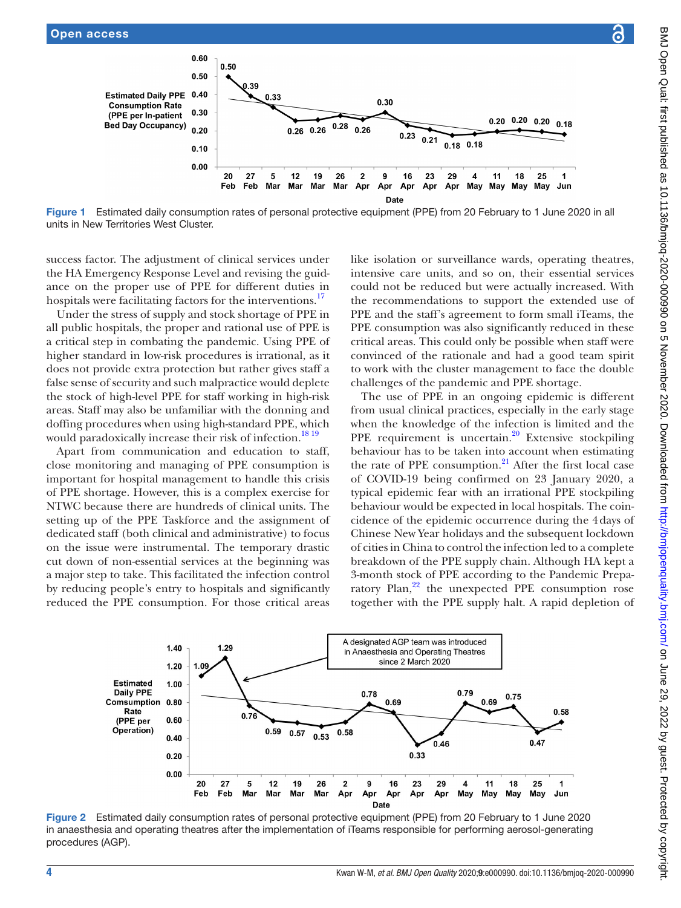success factor. The adjustment of clinical services under the HA Emergency Response Level and revising the guidance on the proper use of PPE for different duties in hospitals were facilitating factors for the interventions.<sup>17</sup> Under the stress of supply and stock shortage of PPE in all public hospitals, the proper and rational use of PPE is a critical step in combating the pandemic. Using PPE of higher standard in low-risk procedures is irrational, as it does not provide extra protection but rather gives staff a false sense of security and such malpractice would deplete the stock of high-level PPE for staff working in high-risk areas. Staff may also be unfamiliar with the donning and doffing procedures when using high-standard PPE, which would paradoxically increase their risk of infection.<sup>1819</sup> Apart from communication and education to staff, close monitoring and managing of PPE consumption is important for hospital management to handle this crisis of PPE shortage. However, this is a complex exercise for NTWC because there are hundreds of clinical units. The setting up of the PPE Taskforce and the assignment of dedicated staff (both clinical and administrative) to focus on the issue were instrumental. The temporary drastic cut down of non-essential services at the beginning was a major step to take. This facilitated the infection control by reducing people's entry to hospitals and significantly

0.60

0.50

 $0.30$ 

 $0.20$ 

<span id="page-3-0"></span> $0.10$  $0.00$ 

**Estimated Daily PPE 0.40** 

**Consumption Rate** 

(PPE per In-patient

Bed Day Occupancy)

 $0.50$ 

20  $27$ 

Feb

39

Feb

 $0.33$ 

5  $12$ 19 26  $\overline{\mathbf{2}}$ g

Mar Mar 0.30

Apr Apr

Date

 $0.23$ 

16

 $0.28$ 

Mar Apr

 $0.26$ 

 $0.26$  0.26

Mar

units in New Territories West Cluster.





<span id="page-3-1"></span>Figure 2 Estimated daily consumption rates of personal protective equipment (PPE) from 20 February to 1 June 2020 in anaesthesia and operating theatres after the implementation of iTeams responsible for performing aerosol-generating procedures (AGP).

3-month stock of PPE according to the Pandemic Preparatory  $Plan<sub>2</sub><sup>22</sup>$  $Plan<sub>2</sub><sup>22</sup>$  $Plan<sub>2</sub><sup>22</sup>$  the unexpected PPE consumption rose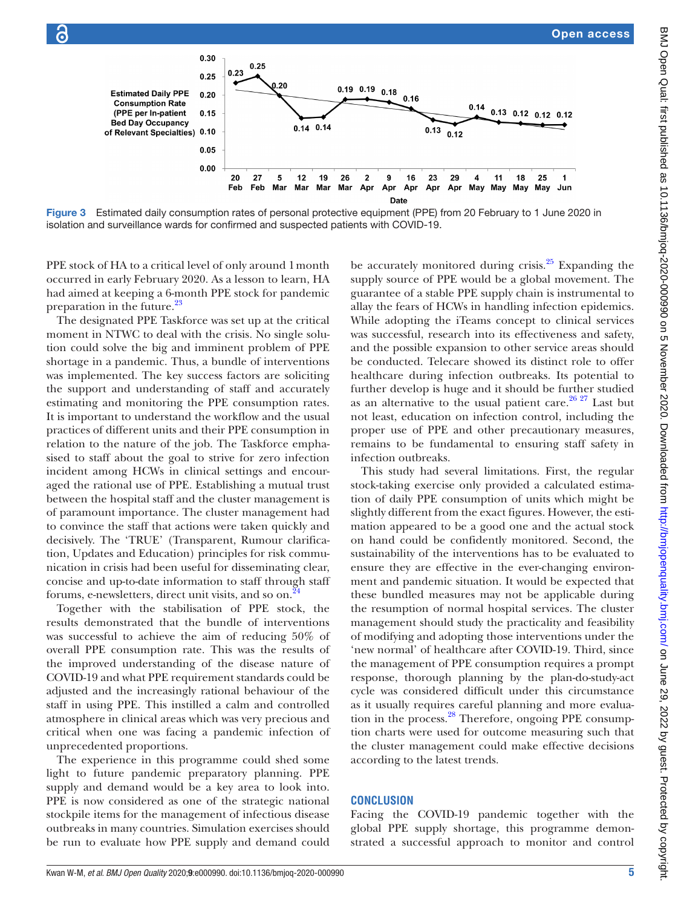

<span id="page-4-0"></span>Figure 3 Estimated daily consumption rates of personal protective equipment (PPE) from 20 February to 1 June 2020 in isolation and surveillance wards for confirmed and suspected patients with COVID-19.

PPE stock of HA to a critical level of only around 1month occurred in early February 2020. As a lesson to learn, HA had aimed at keeping a 6-month PPE stock for pandemic preparation in the future.<sup>[23](#page-5-18)</sup>

The designated PPE Taskforce was set up at the critical moment in NTWC to deal with the crisis. No single solution could solve the big and imminent problem of PPE shortage in a pandemic. Thus, a bundle of interventions was implemented. The key success factors are soliciting the support and understanding of staff and accurately estimating and monitoring the PPE consumption rates. It is important to understand the workflow and the usual practices of different units and their PPE consumption in relation to the nature of the job. The Taskforce emphasised to staff about the goal to strive for zero infection incident among HCWs in clinical settings and encouraged the rational use of PPE. Establishing a mutual trust between the hospital staff and the cluster management is of paramount importance. The cluster management had to convince the staff that actions were taken quickly and decisively. The 'TRUE' (Transparent, Rumour clarification, Updates and Education) principles for risk communication in crisis had been useful for disseminating clear, concise and up-to-date information to staff through staff forums, e-newsletters, direct unit visits, and so on.<sup>2</sup>

Together with the stabilisation of PPE stock, the results demonstrated that the bundle of interventions was successful to achieve the aim of reducing 50% of overall PPE consumption rate. This was the results of the improved understanding of the disease nature of COVID-19 and what PPE requirement standards could be adjusted and the increasingly rational behaviour of the staff in using PPE. This instilled a calm and controlled atmosphere in clinical areas which was very precious and critical when one was facing a pandemic infection of unprecedented proportions.

The experience in this programme could shed some light to future pandemic preparatory planning. PPE supply and demand would be a key area to look into. PPE is now considered as one of the strategic national stockpile items for the management of infectious disease outbreaks in many countries. Simulation exercises should be run to evaluate how PPE supply and demand could

be accurately monitored during crisis. $25$  Expanding the supply source of PPE would be a global movement. The guarantee of a stable PPE supply chain is instrumental to allay the fears of HCWs in handling infection epidemics. While adopting the iTeams concept to clinical services was successful, research into its effectiveness and safety, and the possible expansion to other service areas should be conducted. Telecare showed its distinct role to offer healthcare during infection outbreaks. Its potential to further develop is huge and it should be further studied as an alternative to the usual patient care.<sup>[26 27](#page-5-21)</sup> Last but not least, education on infection control, including the proper use of PPE and other precautionary measures, remains to be fundamental to ensuring staff safety in infection outbreaks.

This study had several limitations. First, the regular stock-taking exercise only provided a calculated estimation of daily PPE consumption of units which might be slightly different from the exact figures. However, the estimation appeared to be a good one and the actual stock on hand could be confidently monitored. Second, the sustainability of the interventions has to be evaluated to ensure they are effective in the ever-changing environment and pandemic situation. It would be expected that these bundled measures may not be applicable during the resumption of normal hospital services. The cluster management should study the practicality and feasibility of modifying and adopting those interventions under the 'new normal' of healthcare after COVID-19. Third, since the management of PPE consumption requires a prompt response, thorough planning by the plan-do-study-act cycle was considered difficult under this circumstance as it usually requires careful planning and more evaluation in the process.<sup>28</sup> Therefore, ongoing PPE consumption charts were used for outcome measuring such that the cluster management could make effective decisions according to the latest trends.

### **CONCLUSION**

Facing the COVID-19 pandemic together with the global PPE supply shortage, this programme demonstrated a successful approach to monitor and control